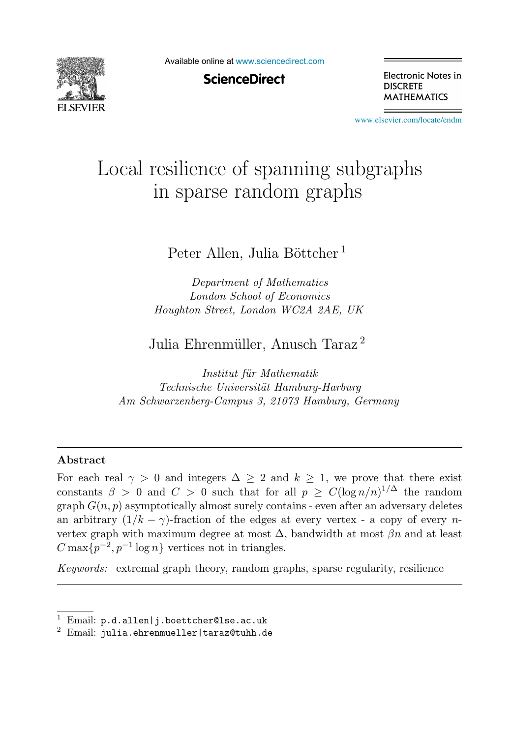

Available online at [www.sciencedirect.com](http://www.sciencedirect.com)

**ScienceDirect** 

Electronic Notes in **DISCRETE MATHEMATICS** 

[www.elsevier.com/locate/endm](http://www.elsevier.com/locate/endm)

# Local resilience of spanning subgraphs in sparse random graphs

## Peter Allen, Julia Böttcher<sup>1</sup>

*Department of Mathematics London School of Economics Houghton Street, London WC2A 2AE, UK*

Julia Ehrenmüller, Anusch Taraz<sup>2</sup>

*Institut f¨ur Mathematik Technische Universit¨at Hamburg-Harburg Am Schwarzenberg-Campus 3, 21073 Hamburg, Germany*

#### **Abstract**

For each real  $\gamma > 0$  and integers  $\Delta > 2$  and  $k > 1$ , we prove that there exist constants  $\beta > 0$  and  $C > 0$  such that for all  $p \ge C(\log n/n)^{1/\Delta}$  the random graph  $G(n, p)$  asymptotically almost surely contains - even after an adversary deletes an arbitrary  $(1/k - \gamma)$ -fraction of the edges at every vertex - a copy of every nvertex graph with maximum degree at most  $\Delta$ , bandwidth at most  $\beta n$  and at least  $C \max\{p^{-2}, p^{-1} \log n\}$  vertices not in triangles.

*Keywords:* extremal graph theory, random graphs, sparse regularity, resilience

 $1$  Email:  $p.d.allen[j.boettcher@lse.ac.uk]$ 

 $2$  Email: julia.ehrenmueller | taraz@tuhh.de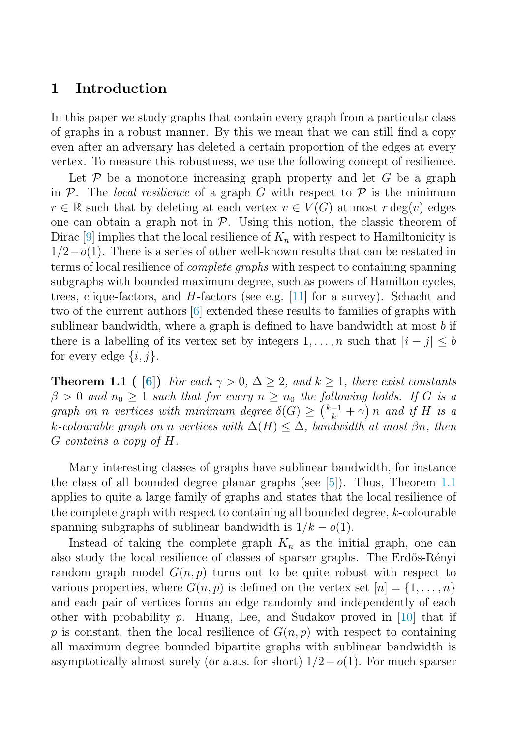### <span id="page-1-0"></span>**1 Introduction**

In this paper we study graphs that contain every graph from a particular class of graphs in a robust manner. By this we mean that we can still find a copy even after an adversary has deleted a certain proportion of the edges at every vertex. To measure this robustness, we use the following concept of resilience.

Let  $P$  be a monotone increasing graph property and let G be a graph in P. The local resilience of a graph G with respect to P is the minimum  $r \in \mathbb{R}$  such that by deleting at each vertex  $v \in V(G)$  at most  $r \deg(v)$  edges one can obtain a graph not in  $P$ . Using this notion, the classic theorem of Dirac [\[9\]](#page-8-0) implies that the local resilience of  $K_n$  with respect to Hamiltonicity is  $1/2-o(1)$ . There is a series of other well-known results that can be restated in terms of local resilience of complete graphs with respect to containing spanning subgraphs with bounded maximum degree, such as powers of Hamilton cycles, trees, clique-factors, and  $H$ -factors (see e.g. [\[11\]](#page-8-0) for a survey). Schacht and two of the current authors [\[6\]](#page-8-0) extended these results to families of graphs with sublinear bandwidth, where a graph is defined to have bandwidth at most  $b$  if there is a labelling of its vertex set by integers  $1,\ldots,n$  such that  $|i-j|\leq b$ for every edge  $\{i, j\}.$ 

**Theorem 1.1 (** [\[6\]](#page-8-0)) For each  $\gamma > 0$ ,  $\Delta \geq 2$ , and  $k \geq 1$ , there exist constants  $\beta > 0$  and  $n_0 \geq 1$  such that for every  $n \geq n_0$  the following holds. If G is a graph on n vertices with minimum degree  $\delta(G) \geq (\frac{k-1}{k} + \gamma) n$  and if H is a k-colourable graph on n vertices with  $\Delta(H) \leq \Delta$ , bandwidth at most  $\beta_n$ , then G contains a copy of H.

Many interesting classes of graphs have sublinear bandwidth, for instance the class of all bounded degree planar graphs (see [\[5\]](#page-7-0)). Thus, Theorem 1.1 applies to quite a large family of graphs and states that the local resilience of the complete graph with respect to containing all bounded degree,  $k$ -colourable spanning subgraphs of sublinear bandwidth is  $1/k - o(1)$ .

Instead of taking the complete graph  $K_n$  as the initial graph, one can also study the local resilience of classes of sparser graphs. The Erdős-Rényi random graph model  $G(n, p)$  turns out to be quite robust with respect to various properties, where  $G(n, p)$  is defined on the vertex set  $[n] = \{1, \ldots, n\}$ and each pair of vertices forms an edge randomly and independently of each other with probability  $p$ . Huang, Lee, and Sudakov proved in [\[10\]](#page-8-0) that if p is constant, then the local resilience of  $G(n, p)$  with respect to containing all maximum degree bounded bipartite graphs with sublinear bandwidth is asymptotically almost surely (or a.a.s. for short)  $1/2-o(1)$ . For much sparser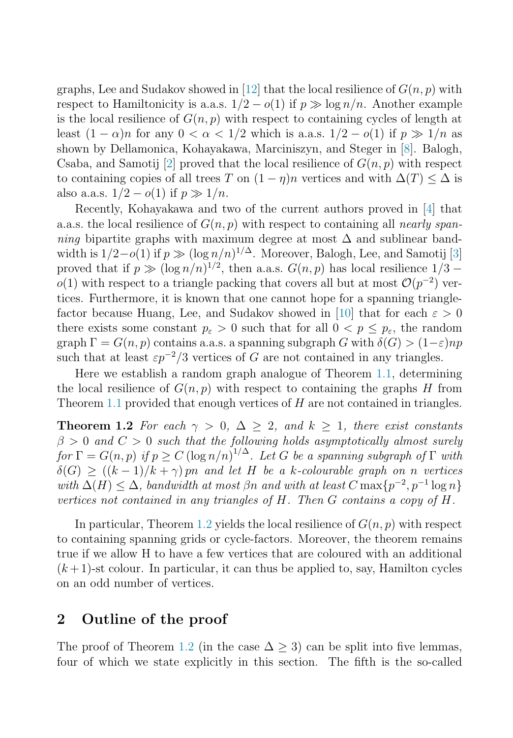graphs, Lee and Sudakov showed in [\[12\]](#page-8-0) that the local resilience of  $G(n, p)$  with respect to Hamiltonicity is a.a.s.  $1/2 - o(1)$  if  $p \gg \log n/n$ . Another example is the local resilience of  $G(n, p)$  with respect to containing cycles of length at least  $(1 - \alpha)n$  for any  $0 < \alpha < 1/2$  which is a.a.s.  $1/2 - o(1)$  if  $p \gg 1/n$  as shown by Dellamonica, Kohayakawa, Marciniszyn, and Steger in [\[8\]](#page-8-0). Balogh, Csaba, and Samotij [\[2\]](#page-7-0) proved that the local resilience of  $G(n, p)$  with respect to containing copies of all trees T on  $(1 - \eta)n$  vertices and with  $\Delta(T) \leq \Delta$  is also a.a.s.  $1/2 - o(1)$  if  $p \gg 1/n$ .

Recently, Kohayakawa and two of the current authors proved in [\[4\]](#page-7-0) that a.a.s. the local resilience of  $G(n, p)$  with respect to containing all *nearly span*ning bipartite graphs with maximum degree at most  $\Delta$  and sublinear bandwidth is  $1/2-o(1)$  if  $p \gg (\log n/n)^{1/\Delta}$ . Moreover, Balogh, Lee, and Samotij [\[3\]](#page-7-0) proved that if  $p \gg (\log n/n)^{1/2}$ , then a.a.s.  $G(n, p)$  has local resilience  $1/3$ o(1) with respect to a triangle packing that covers all but at most  $\mathcal{O}(p^{-2})$  vertices. Furthermore, it is known that one cannot hope for a spanning triangle-factor because Huang, Lee, and Sudakov showed in [\[10\]](#page-8-0) that for each  $\varepsilon > 0$ there exists some constant  $p_{\varepsilon} > 0$  such that for all  $0 < p \leq p_{\varepsilon}$ , the random graph  $\Gamma = G(n, p)$  contains a.a.s. a spanning subgraph G with  $\delta(G) > (1-\varepsilon)np$ such that at least  $\varepsilon p^{-2}/3$  vertices of G are not contained in any triangles.

Here we establish a random graph analogue of Theorem [1.1,](#page-1-0) determining the local resilience of  $G(n, p)$  with respect to containing the graphs H from Theorem [1.1](#page-1-0) provided that enough vertices of H are not contained in triangles.

**Theorem 1.2** For each  $\gamma > 0$ ,  $\Delta \geq 2$ , and  $k \geq 1$ , there exist constants  $\beta > 0$  and  $C > 0$  such that the following holds asymptotically almost surely for  $\Gamma = G(n, p)$  if  $p \ge C (\log n/n)^{1/\Delta}$ . Let G be a spanning subgraph of  $\Gamma$  with  $\delta(G) \ge ((k-1)/k + \gamma)$  pn and let H be a k-colourable graph on n vertices with  $\Delta(H) \leq \Delta$ , bandwidth at most  $\beta n$  and with at least  $C \max\{p^{-2}, p^{-1} \log n\}$ vertices not contained in any triangles of H. Then G contains a copy of H.

In particular, Theorem 1.2 yields the local resilience of  $G(n, p)$  with respect to containing spanning grids or cycle-factors. Moreover, the theorem remains true if we allow H to have a few vertices that are coloured with an additional  $(k+1)$ -st colour. In particular, it can thus be applied to, say, Hamilton cycles on an odd number of vertices.

#### **2 Outline of the proof**

The proof of Theorem 1.2 (in the case  $\Delta > 3$ ) can be split into five lemmas, four of which we state explicitly in this section. The fifth is the so-called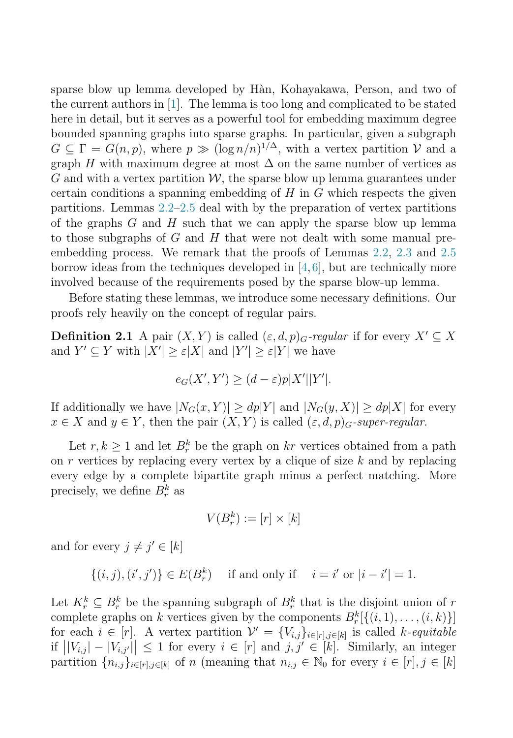sparse blow up lemma developed by Hàn, Kohayakawa, Person, and two of the current authors in [\[1\]](#page-7-0). The lemma is too long and complicated to be stated here in detail, but it serves as a powerful tool for embedding maximum degree bounded spanning graphs into sparse graphs. In particular, given a subgraph  $G \subseteq \Gamma = G(n, p)$ , where  $p \gg (\log n/n)^{1/\Delta}$ , with a vertex partition V and a graph H with maximum degree at most  $\Delta$  on the same number of vertices as  $G$  and with a vertex partition  $W$ , the sparse blow up lemma guarantees under certain conditions a spanning embedding of  $H$  in  $G$  which respects the given partitions. Lemmas [2.2–](#page-4-0)[2.5](#page-6-0) deal with by the preparation of vertex partitions of the graphs  $G$  and  $H$  such that we can apply the sparse blow up lemma to those subgraphs of  $G$  and  $H$  that were not dealt with some manual preembedding process. We remark that the proofs of Lemmas [2.2,](#page-4-0) [2.3](#page-5-0) and [2.5](#page-6-0) borrow ideas from the techniques developed in  $[4,6]$  $[4,6]$ , but are technically more involved because of the requirements posed by the sparse blow-up lemma.

Before stating these lemmas, we introduce some necessary definitions. Our proofs rely heavily on the concept of regular pairs.

**Definition 2.1** A pair  $(X, Y)$  is called  $(\varepsilon, d, p)$ <sub>G</sub>-regular if for every  $X' \subseteq X$ and  $Y' \subseteq Y$  with  $|X'| \geq \varepsilon |X|$  and  $|Y'| \geq \varepsilon |Y|$  we have

$$
e_G(X', Y') \ge (d - \varepsilon)p|X'||Y'|.
$$

If additionally we have  $|N_G(x, Y)| \ge dp|Y|$  and  $|N_G(y, X)| \ge dp|X|$  for every  $x \in X$  and  $y \in Y$ , then the pair  $(X, Y)$  is called  $(\varepsilon, d, p)$ <sub>G</sub>-super-regular.

Let  $r, k \geq 1$  and let  $B_r^k$  be the graph on kr vertices obtained from a path on  $r$  vertices by replacing every vertex by a clique of size  $k$  and by replacing every edge by a complete bipartite graph minus a perfect matching. More precisely, we define  $B_r^k$  as

$$
V(B^k_r):=[r]\times[k]
$$

and for every  $j \neq j' \in [k]$ 

 $\{(i, j), (i', j')\} \in E(B_r^k)$  if and only if  $i = i'$  or  $|i - i'| = 1$ .

Let  $K_r^k \subseteq B_r^k$  be the spanning subgraph of  $B_r^k$  that is the disjoint union of r complete graphs on k vertices given by the components  $B_r^k[\{(i,1),\ldots,(i,k)\}]$ for each  $i \in [r]$ . A vertex partition  $\mathcal{V}' = \{V_{i,j}\}_{i \in [r], j \in [k]}$  is called k-equitable if  $||V_{i,j}|-|V_{i,j'}|| \leq 1$  for every  $i \in [r]$  and  $j, j' \in [k]$ . Similarly, an integer partition  $\{n_{i,j}\}_{i\in[r],j\in[k]}$  of n (meaning that  $n_{i,j}\in\mathbb{N}_0$  for every  $i\in[r],j\in[k]$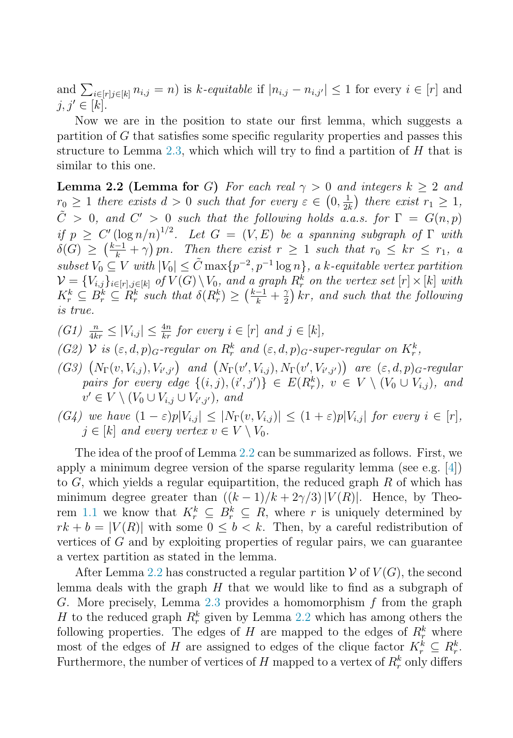<span id="page-4-0"></span>and  $\sum_{i\in[r]} p_{i,j} = n$  is k-equitable if  $|n_{i,j} - n_{i,j'}| \leq 1$  for every  $i \in [r]$  and  $j, j' \in [k]$ .

Now we are in the position to state our first lemma, which suggests a partition of G that satisfies some specific regularity properties and passes this structure to Lemma [2.3,](#page-5-0) which which will try to find a partition of  $H$  that is similar to this one.

**Lemma 2.2 (Lemma for G)** For each real  $\gamma > 0$  and integers  $k > 2$  and  $r_0 \geq 1$  there exists  $d > 0$  such that for every  $\varepsilon \in (0, \frac{1}{2k})$  there exist  $r_1 \geq 1$ ,  $\tilde{C} > 0$ , and  $C' > 0$  such that the following holds a.a.s. for  $\Gamma = G(n, p)$ if  $p \geq C' (\log n/n)^{1/2}$ . Let  $G = (V, E)$  be a spanning subgraph of  $\Gamma$  with  $\delta(G) \geq \left(\frac{k-1}{k} + \gamma\right)pn$ . Then there exist  $r \geq 1$  such that  $r_0 \leq kr \leq r_1$ , a subset  $V_0 \subseteq V$  with  $|V_0| \leq \tilde{C} \max\{p^{-2}, p^{-1} \log n\}$ , a k-equitable vertex partition  $\mathcal{V} = \{V_{i,j}\}_{i \in [r], j \in [k]}$  of  $V(G) \setminus V_0$ , and a graph  $R_r^k$  on the vertex set  $[r] \times [k]$  with  $K_r^k \subseteq B_r^k \subseteq \mathbb{R}_r^k$  such that  $\delta(R_r^k) \geq (\frac{k-1}{k} + \frac{\gamma}{2}) k r$ , and such that the following is true.

- (G1)  $\frac{n}{4kr} \leq |V_{i,j}| \leq \frac{4n}{kr}$  for every  $i \in [r]$  and  $j \in [k]$ ,
- (G2) V is  $(\varepsilon, d, p)_{G}$ -regular on  $R_r^k$  and  $(\varepsilon, d, p)_{G}$ -super-regular on  $K_r^k$ ,
- (G3)  $(N_{\Gamma}(v, V_{i,j}), V_{i',j'})$  and  $(N_{\Gamma}(v', V_{i,j}), N_{\Gamma}(v', V_{i',j'}))$  are  $(\varepsilon, d, p)_{G}$ -regular pairs for every edge  $\{(i, j), (i', j')\} \in E(R_r^k)$ ,  $v \in V \setminus (V_0 \cup V_{i,j})$ , and  $v' \in V \setminus (V_0 \cup V_{i,j} \cup V_{i',j'}),$  and
- (G4) we have  $(1 \varepsilon)p|V_{i,j}| \leq |N_{\Gamma}(v, V_{i,j})| \leq (1 + \varepsilon)p|V_{i,j}|$  for every  $i \in [r]$ ,  $j \in [k]$  and every vertex  $v \in V \setminus V_0$ .

The idea of the proof of Lemma 2.2 can be summarized as follows. First, we apply a minimum degree version of the sparse regularity lemma (see e.g. [\[4\]](#page-7-0)) to  $G$ , which yields a regular equipartition, the reduced graph  $R$  of which has minimum degree greater than  $((k-1)/k+2\gamma/3)|V(R)|$ . Hence, by Theo-rem [1.1](#page-1-0) we know that  $K_r^k \subseteq B_r^k \subseteq R$ , where r is uniquely determined by  $rk + b = |V(R)|$  with some  $0 \leq b \leq k$ . Then, by a careful redistribution of vertices of G and by exploiting properties of regular pairs, we can guarantee a vertex partition as stated in the lemma.

After Lemma 2.2 has constructed a regular partition  $V$  of  $V(G)$ , the second lemma deals with the graph  $H$  that we would like to find as a subgraph of G. More precisely, Lemma [2.3](#page-5-0) provides a homomorphism f from the graph H to the reduced graph  $R_r^k$  given by Lemma 2.2 which has among others the following properties. The edges of H are mapped to the edges of  $R_r^k$  where most of the edges of H are assigned to edges of the clique factor  $K_r^k \subseteq R_r^k$ . Furthermore, the number of vertices of  $H$  mapped to a vertex of  $R_r^k$  only differs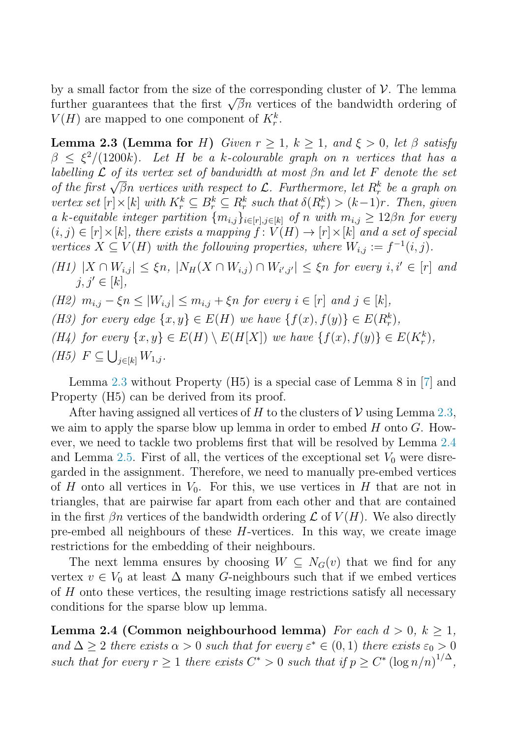<span id="page-5-0"></span>by a small factor from the size of the corresponding cluster of  $\mathcal V$ . The lemma further guarantees that the first  $\sqrt{\beta}n$  vertices of the bandwidth ordering of  $V(H)$  are mapped to one component of  $K_r^k$ .

**Lemma 2.3 (Lemma for H)** Given  $r \geq 1$ ,  $k \geq 1$ , and  $\xi > 0$ , let  $\beta$  satisfy  $\beta \leq \xi^2/(1200k)$ . Let H be a k-colourable graph on n vertices that has a labelling  $\mathcal L$  of its vertex set of bandwidth at most  $\beta$ n and let F denote the set the first  $\sqrt{\beta}n$  vertices with respect to  $\mathcal{L}$ . Furthermore, let  $R_r^k$  be a graph on vertex set  $[r] \times [k]$  with  $K_r^k \subseteq B_r^k \subseteq R_r^k$  such that  $\delta(R_r^k) > (k-1)r$ . Then, given a k-equitable integer partition  $\{m_{i,j}\}_{i\in[r],j\in[k]}$  of n with  $m_{i,j}\geq 12\beta n$  for every  $(i, j) \in [r] \times [k]$ , there exists a mapping  $f: V(H) \to [r] \times [k]$  and a set of special vertices  $X \subseteq V(H)$  with the following properties, where  $W_{i,j} := f^{-1}(i,j)$ .

(H1)  $|X \cap W_{i,j}| \leq \xi n$ ,  $|N_H(X \cap W_{i,j}) \cap W_{i',j'}| \leq \xi n$  for every  $i, i' \in [r]$  and  $j, j' \in [k],$ 

- (H2)  $m_{i,j} \xi n \le |W_{i,j}| \le m_{i,j} + \xi n$  for every  $i \in [r]$  and  $j \in [k]$ ,
- (H3) for every edge  $\{x, y\} \in E(H)$  we have  $\{f(x), f(y)\} \in E(R_r^k)$ ,
- (H4) for every  $\{x, y\} \in E(H) \setminus E(H[X])$  we have  $\{f(x), f(y)\} \in E(K_r^k)$ , (H5)  $F \subseteq \bigcup_{j \in [k]} W_{1,j}$ .

Lemma 2.3 without Property (H5) is a special case of Lemma 8 in [\[7\]](#page-8-0) and Property (H5) can be derived from its proof.

After having assigned all vertices of H to the clusters of V using Lemma 2.3, we aim to apply the sparse blow up lemma in order to embed  $H$  onto  $G$ . However, we need to tackle two problems first that will be resolved by Lemma 2.4 and Lemma [2.5.](#page-6-0) First of all, the vertices of the exceptional set  $V_0$  were disregarded in the assignment. Therefore, we need to manually pre-embed vertices of H onto all vertices in  $V_0$ . For this, we use vertices in H that are not in triangles, that are pairwise far apart from each other and that are contained in the first  $\beta n$  vertices of the bandwidth ordering  $\mathcal L$  of  $V(H)$ . We also directly pre-embed all neighbours of these  $H$ -vertices. In this way, we create image restrictions for the embedding of their neighbours.

The next lemma ensures by choosing  $W \subseteq N_G(v)$  that we find for any vertex  $v \in V_0$  at least  $\Delta$  many G-neighbours such that if we embed vertices of  $H$  onto these vertices, the resulting image restrictions satisfy all necessary conditions for the sparse blow up lemma.

**Lemma 2.4 (Common neighbourhood lemma)** For each  $d > 0$ ,  $k \ge 1$ , and  $\Delta \geq 2$  there exists  $\alpha > 0$  such that for every  $\varepsilon^* \in (0,1)$  there exists  $\varepsilon_0 > 0$ such that for every  $r \geq 1$  there exists  $C^* > 0$  such that if  $p \geq C^* \left(\log n/n\right)^{1/\Delta}$ ,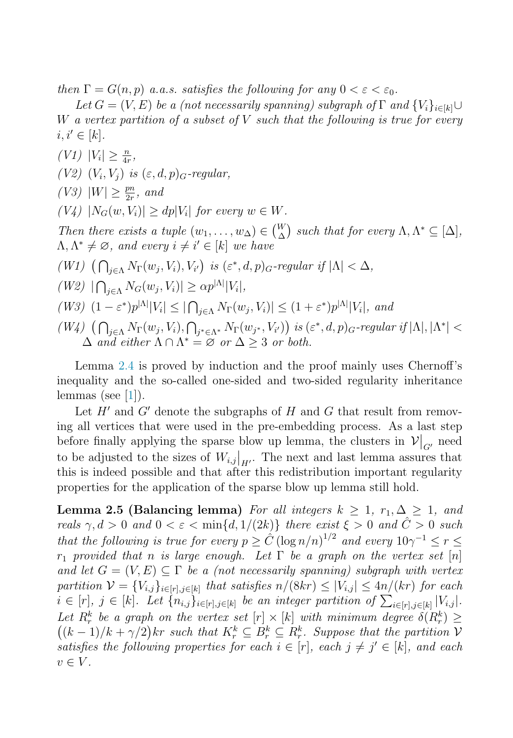<span id="page-6-0"></span>then  $\Gamma = G(n, p)$  a.a.s. satisfies the following for any  $0 < \varepsilon < \varepsilon_0$ .

Let  $G = (V, E)$  be a (not necessarily spanning) subgraph of  $\Gamma$  and  $\{V_i\}_{i \in [k]} \cup$ W a vertex partition of a subset of  $V$  such that the following is true for every  $i, i' \in [k]$ .

 $(V1)$   $|V_i| \geq \frac{n}{4r},$ (V2)  $(V_i, V_j)$  is  $(\varepsilon, d, p)_{G}$ -regular, (V3)  $|W| \ge \frac{pn}{2r}$ , and  $(V_4)$   $|N_G(w, V_i)| > dp|V_i|$  for every  $w \in W$ . Then there exists a tuple  $(w_1, \ldots, w_\Delta) \in \binom{W}{\Delta}$  $_{\Delta}^{W}$ ) such that for every  $\Lambda, \Lambda^* \subseteq [\Delta],$  $\Lambda, \Lambda^* \neq \emptyset$ , and every  $i \neq i' \in [k]$  we have (W1)  $\left(\bigcap_{j\in\Lambda}N_{\Gamma}(w_j,V_i),V_{i'}\right)$  is  $(\varepsilon^*,d,p)_{G}$ -regular if  $|\Lambda|<\Delta$ , (W2)  $|\bigcap_{j\in\Lambda} N_G(w_j, V_i)| \ge \alpha p^{|\Lambda|} |V_i|,$ (W3)  $(1 - \varepsilon^*) p^{|{\Lambda}|} |V_i| \leq |\bigcap_{j \in {\Lambda}} N_{\Gamma}(w_j, V_i)| \leq (1 + \varepsilon^*) p^{|{\Lambda}|} |V_i|$ , and  $(W4)$   $(\bigcap_{j\in\Lambda} N_{\Gamma}(w_j, V_i), \bigcap_{j^*\in\Lambda^*} N_{\Gamma}(w_{j^*}, V_{i'})\big)$  is  $(\varepsilon^*, d, p)_G$ -regular if  $|\Lambda|, |\Lambda^*|$  <  $\Delta$  and either  $\Lambda \cap \Lambda^* = \varnothing$  or  $\Delta \geq 3$  or both.

Lemma [2.4](#page-5-0) is proved by induction and the proof mainly uses Chernoff's inequality and the so-called one-sided and two-sided regularity inheritance lemmas (see  $[1]$ ).

Let  $H'$  and  $G'$  denote the subgraphs of  $H$  and  $G$  that result from removing all vertices that were used in the pre-embedding process. As a last step before finally applying the sparse blow up lemma, the clusters in  $\mathcal{V}|_{G'}$  need to be adjusted to the sizes of  $W_{i,j}|_{H'}$ . The next and last lemma assures that this is indeed possible and that after this redistribution important regularity properties for the application of the sparse blow up lemma still hold.

**Lemma 2.5 (Balancing lemma)** For all integers  $k \geq 1$ ,  $r_1, \Delta \geq 1$ , and reals  $\gamma, d > 0$  and  $0 < \varepsilon < \min\{d, 1/(2k)\}\$  there exist  $\xi > 0$  and  $\hat{C} > 0$  such that the following is true for every  $p \geq \hat{C} (\log n/n)^{1/2}$  and every  $10\gamma^{-1} \leq r \leq$  $r_1$  provided that n is large enough. Let  $\Gamma$  be a graph on the vertex set [n] and let  $G = (V, E) \subseteq \Gamma$  be a (not necessarily spanning) subgraph with vertex partition  $V = \{V_{i,j}\}_{i \in [r], j \in [k]}$  that satisfies  $n/(8kr) \leq |V_{i,j}| \leq 4n/(kr)$  for each  $i \in [r], j \in [k].$  Let  $\{n_{i,j}\}_{i \in [r], j \in [k]}$  be an integer partition of  $\sum_{i \in [r], j \in [k]} |V_{i,j}|$ . Let  $R_r^k$  be a graph on the vertex set  $[r] \times [k]$  with minimum degree  $\delta(R_r^k) \geq$  $((k-1)/k+\gamma/2)$ kr such that  $K_r^k \subseteq B_r^k \subseteq R_r^k$ . Suppose that the partition V satisfies the following properties for each  $i \in [r]$ , each  $j \neq j' \in [k]$ , and each  $v \in V$ .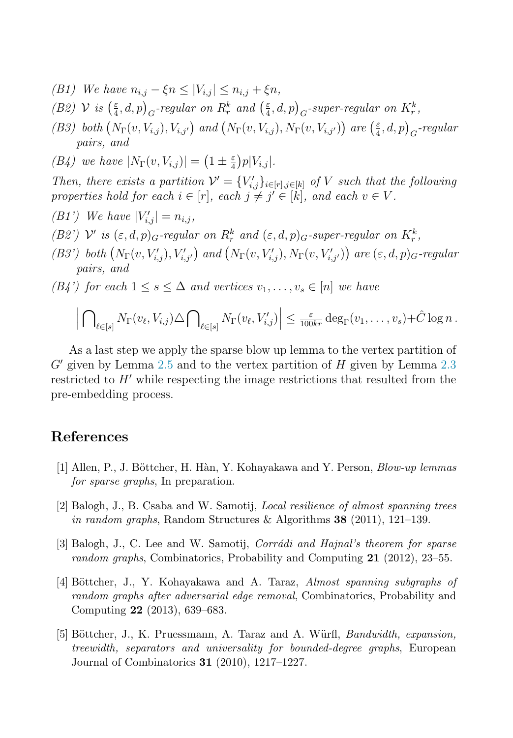- <span id="page-7-0"></span>(B1) We have  $n_{i,j} - \xi n \leq |V_{i,j}| \leq n_{i,j} + \xi n$ ,
- (B2)  $V$  is  $\left(\frac{\varepsilon}{4},d,p\right)_{G}$ -regular on  $R_r^k$  and  $\left(\frac{\varepsilon}{4},d,p\right)_{G}$ -super-regular on  $K_r^k$ ,
- (B3) both  $(N_{\Gamma}(v, V_{i,j}), V_{i,j'})$  and  $(N_{\Gamma}(v, V_{i,j}), N_{\Gamma}(v, V_{i,j'}))$  are  $(\frac{\varepsilon}{4}, d, p)_{G}$ -regular pairs, and

(B4) we have 
$$
|N_{\Gamma}(v, V_{i,j})| = \left(1 \pm \frac{\varepsilon}{4}\right) p|V_{i,j}|.
$$

Then, there exists a partition  $\mathcal{V}' = \{V'_{i,j}\}_{i \in [r], j \in [k]}$  of V such that the following properties hold for each  $i \in [r]$ , each  $j \neq j' \in [k]$ , and each  $v \in V$ .

- (B1') We have  $|V'_{i,j}| = n_{i,j}$ ,
- (B2')  $\mathcal{V}'$  is  $(\varepsilon, d, p)_{G}$ -regular on  $R_r^k$  and  $(\varepsilon, d, p)_{G}$ -super-regular on  $K_r^k$ ,
- (B3') both  $(N_{\Gamma}(v, V'_{i,j}), V'_{i,j'})$  and  $(N_{\Gamma}(v, V'_{i,j}), N_{\Gamma}(v, V'_{i,j'}))$  are  $(\varepsilon, d, p)_{G}$ -regular pairs, and
- $(B4')$  for each  $1 \leq s \leq \Delta$  and vertices  $v_1, \ldots, v_s \in [n]$  we have

$$
\left|\bigcap_{\ell\in[s]}N_{\Gamma}(v_{\ell},V_{i,j})\triangle\bigcap_{\ell\in[s]}N_{\Gamma}(v_{\ell},V'_{i,j})\right|\leq \frac{\varepsilon}{100kr}\deg_{\Gamma}(v_1,\ldots,v_s)+\hat{C}\log n.
$$

As a last step we apply the sparse blow up lemma to the vertex partition of  $G'$  given by Lemma [2.5](#page-6-0) and to the vertex partition of  $H$  given by Lemma [2.3](#page-5-0) restricted to  $H'$  while respecting the image restrictions that resulted from the pre-embedding process.

### **References**

- [1] Allen, P., J. B¨ottcher, H. H`an, Y. Kohayakawa and Y. Person, *Blow-up lemmas for sparse graphs*, In preparation.
- [2] Balogh, J., B. Csaba and W. Samotij, *Local resilience of almost spanning trees in random graphs*, Random Structures & Algorithms **38** (2011), 121–139.
- [3] Balogh, J., C. Lee and W. Samotij, *Corrádi and Hajnal's theorem for sparse random graphs*, Combinatorics, Probability and Computing **21** (2012), 23–55.
- [4] B¨ottcher, J., Y. Kohayakawa and A. Taraz, *Almost spanning subgraphs of random graphs after adversarial edge removal*, Combinatorics, Probability and Computing **22** (2013), 639–683.
- [5] Böttcher, J., K. Pruessmann, A. Taraz and A. Würfl, *Bandwidth, expansion*, *treewidth, separators and universality for bounded-degree graphs*, European Journal of Combinatorics **31** (2010), 1217–1227.